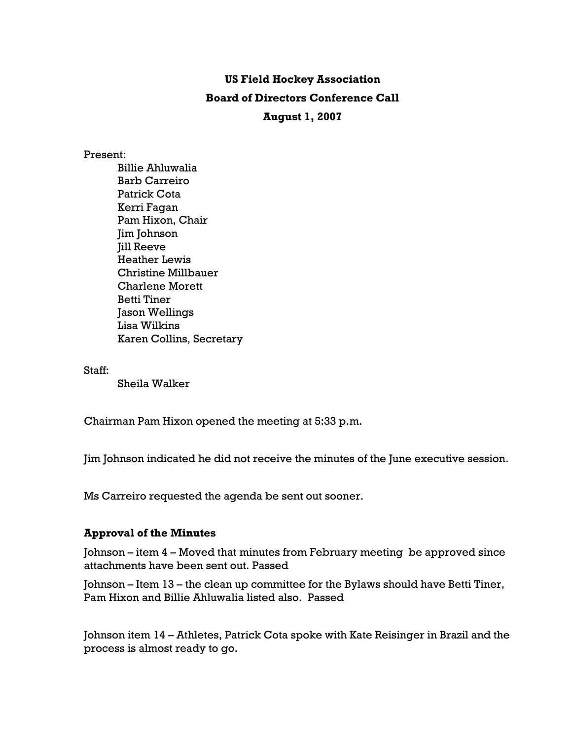# **US Field Hockey Association Board of Directors Conference Call August 1, 2007**

#### Present:

Billie Ahluwalia Barb Carreiro Patrick Cota Kerri Fagan Pam Hixon, Chair Jim Johnson Jill Reeve Heather Lewis Christine Millbauer Charlene Morett Betti Tiner Jason Wellings Lisa Wilkins Karen Collins, Secretary

Staff:

Sheila Walker

Chairman Pam Hixon opened the meeting at 5:33 p.m.

Jim Johnson indicated he did not receive the minutes of the June executive session.

Ms Carreiro requested the agenda be sent out sooner.

## **Approval of the Minutes**

Johnson – item 4 – Moved that minutes from February meeting be approved since attachments have been sent out. Passed

Johnson – Item 13 – the clean up committee for the Bylaws should have Betti Tiner, Pam Hixon and Billie Ahluwalia listed also. Passed

Johnson item 14 – Athletes, Patrick Cota spoke with Kate Reisinger in Brazil and the process is almost ready to go.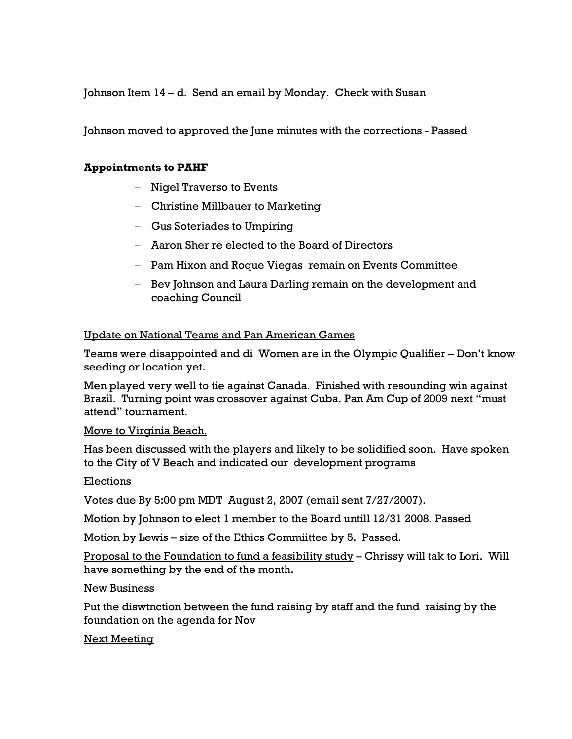Johnson Item 14 – d. Send an email by Monday. Check with Susan

Johnson moved to approved the June minutes with the corrections - Passed

## **Appointments to PAHF**

- − Nigel Traverso to Events
- − Christine Millbauer to Marketing
- − Gus Soteriades to Umpiring
- − Aaron Sher re elected to the Board of Directors
- − Pam Hixon and Roque Viegas remain on Events Committee
- − Bev Johnson and Laura Darling remain on the development and coaching Council

## Update on National Teams and Pan American Games

Teams were disappointed and di Women are in the Olympic Qualifier – Don't know seeding or location yet.

Men played very well to tie against Canada. Finished with resounding win against Brazil. Turning point was crossover against Cuba. Pan Am Cup of 2009 next "must attend" tournament.

## Move to Virginia Beach.

Has been discussed with the players and likely to be solidified soon. Have spoken to the City of V Beach and indicated our development programs

## Elections

Votes due By 5:00 pm MDT August 2, 2007 (email sent 7/27/2007).

Motion by Johnson to elect 1 member to the Board untill 12/31 2008. Passed

Motion by Lewis – size of the Ethics Commiittee by 5. Passed.

Proposal to the Foundation to fund a feasibility study – Chrissy will tak to Lori. Will have something by the end of the month.

#### New Business

Put the diswtnction between the fund raising by staff and the fund raising by the foundation on the agenda for Nov

## Next Meeting